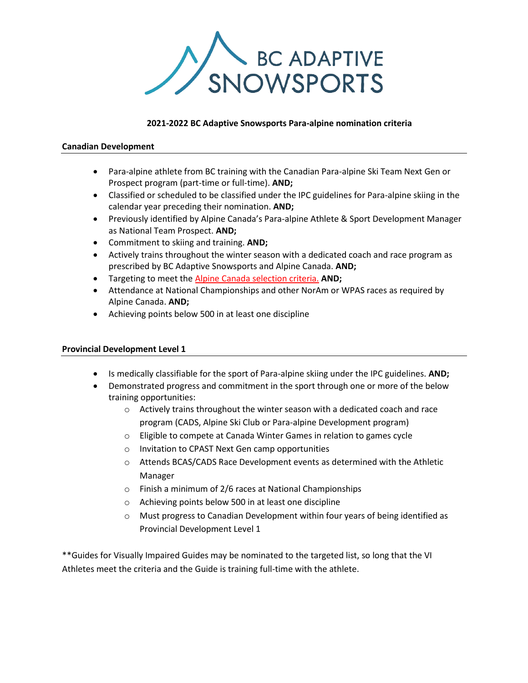

## **2021-2022 BC Adaptive Snowsports Para-alpine nomination criteria**

### **Canadian Development**

- Para-alpine athlete from BC training with the Canadian Para-alpine Ski Team Next Gen or Prospect program (part-time or full-time). **AND;**
- Classified or scheduled to be classified under the IPC guidelines for Para-alpine skiing in the calendar year preceding their nomination. **AND;**
- Previously identified by Alpine Canada's Para-alpine Athlete & Sport Development Manager as National Team Prospect. **AND;**
- Commitment to skiing and training. **AND;**
- Actively trains throughout the winter season with a dedicated coach and race program as prescribed by BC Adaptive Snowsports and Alpine Canada. **AND;**
- Targeting to meet the [Alpine Canada selection criteria.](https://alpinecanada.org/uploads/documents/2021-22_Selection_Guidelines_CPAST_-_Final_EN_-_Dec.23.20.pdf) **AND;**
- Attendance at National Championships and other NorAm or WPAS races as required by Alpine Canada. **AND;**
- Achieving points below 500 in at least one discipline

## **Provincial Development Level 1**

- Is medically classifiable for the sport of Para-alpine skiing under the IPC guidelines. **AND;**
- Demonstrated progress and commitment in the sport through one or more of the below training opportunities:
	- $\circ$  Actively trains throughout the winter season with a dedicated coach and race program (CADS, Alpine Ski Club or Para-alpine Development program)
	- o Eligible to compete at Canada Winter Games in relation to games cycle
	- o Invitation to CPAST Next Gen camp opportunities
	- o Attends BCAS/CADS Race Development events as determined with the Athletic Manager
	- o Finish a minimum of 2/6 races at National Championships
	- o Achieving points below 500 in at least one discipline
	- o Must progress to Canadian Development within four years of being identified as Provincial Development Level 1

\*\*Guides for Visually Impaired Guides may be nominated to the targeted list, so long that the VI Athletes meet the criteria and the Guide is training full-time with the athlete.